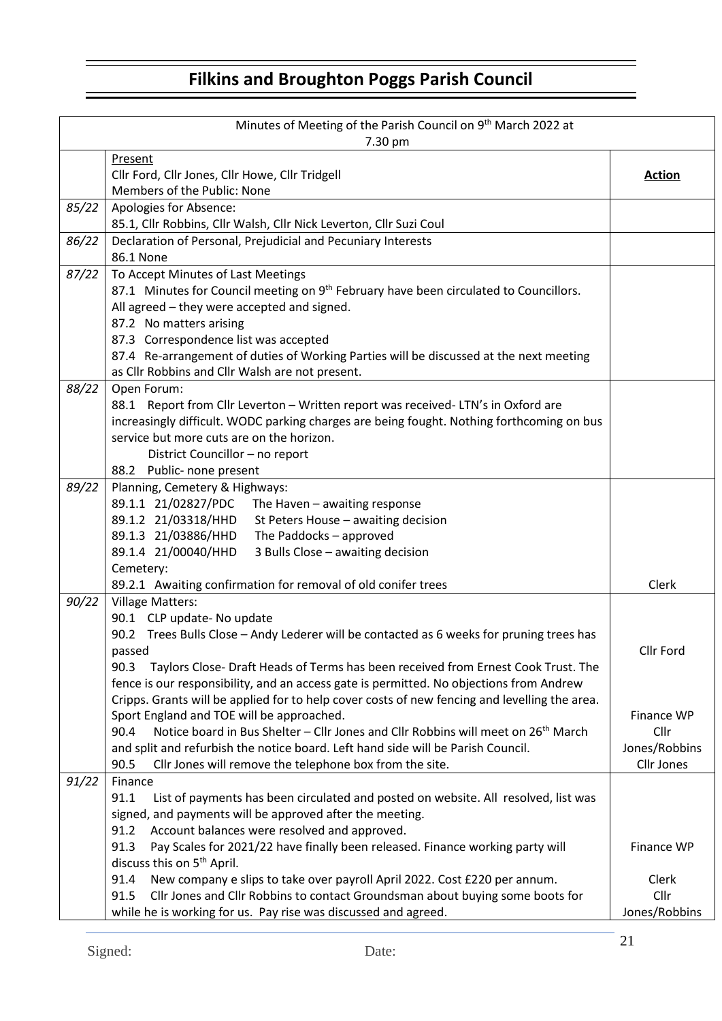|       | Minutes of Meeting of the Parish Council on 9 <sup>th</sup> March 2022 at<br>7.30 pm                                                                                                     |               |  |  |  |  |  |
|-------|------------------------------------------------------------------------------------------------------------------------------------------------------------------------------------------|---------------|--|--|--|--|--|
|       | Present                                                                                                                                                                                  |               |  |  |  |  |  |
|       | Cllr Ford, Cllr Jones, Cllr Howe, Cllr Tridgell                                                                                                                                          | <b>Action</b> |  |  |  |  |  |
|       | Members of the Public: None                                                                                                                                                              |               |  |  |  |  |  |
| 85/22 | Apologies for Absence:                                                                                                                                                                   |               |  |  |  |  |  |
|       | 85.1, Cllr Robbins, Cllr Walsh, Cllr Nick Leverton, Cllr Suzi Coul                                                                                                                       |               |  |  |  |  |  |
| 86/22 | Declaration of Personal, Prejudicial and Pecuniary Interests                                                                                                                             |               |  |  |  |  |  |
|       | 86.1 None                                                                                                                                                                                |               |  |  |  |  |  |
| 87/22 | To Accept Minutes of Last Meetings                                                                                                                                                       |               |  |  |  |  |  |
|       | 87.1 Minutes for Council meeting on 9 <sup>th</sup> February have been circulated to Councillors.                                                                                        |               |  |  |  |  |  |
|       | All agreed - they were accepted and signed.                                                                                                                                              |               |  |  |  |  |  |
|       | 87.2 No matters arising                                                                                                                                                                  |               |  |  |  |  |  |
|       | 87.3 Correspondence list was accepted                                                                                                                                                    |               |  |  |  |  |  |
|       | 87.4 Re-arrangement of duties of Working Parties will be discussed at the next meeting                                                                                                   |               |  |  |  |  |  |
|       | as Cllr Robbins and Cllr Walsh are not present.                                                                                                                                          |               |  |  |  |  |  |
| 88/22 | Open Forum:<br>88.1 Report from Cllr Leverton - Written report was received-LTN's in Oxford are                                                                                          |               |  |  |  |  |  |
|       | increasingly difficult. WODC parking charges are being fought. Nothing forthcoming on bus                                                                                                |               |  |  |  |  |  |
|       | service but more cuts are on the horizon.                                                                                                                                                |               |  |  |  |  |  |
|       | District Councillor - no report                                                                                                                                                          |               |  |  |  |  |  |
|       | 88.2 Public- none present                                                                                                                                                                |               |  |  |  |  |  |
| 89/22 | Planning, Cemetery & Highways:                                                                                                                                                           |               |  |  |  |  |  |
|       | 89.1.1 21/02827/PDC<br>The Haven - awaiting response                                                                                                                                     |               |  |  |  |  |  |
|       | 89.1.2 21/03318/HHD<br>St Peters House - awaiting decision                                                                                                                               |               |  |  |  |  |  |
|       | 89.1.3 21/03886/HHD<br>The Paddocks - approved                                                                                                                                           |               |  |  |  |  |  |
|       | 89.1.4 21/00040/HHD<br>3 Bulls Close - awaiting decision                                                                                                                                 |               |  |  |  |  |  |
|       | Cemetery:                                                                                                                                                                                |               |  |  |  |  |  |
|       | 89.2.1 Awaiting confirmation for removal of old conifer trees                                                                                                                            | Clerk         |  |  |  |  |  |
| 90/22 | <b>Village Matters:</b>                                                                                                                                                                  |               |  |  |  |  |  |
|       | 90.1 CLP update- No update                                                                                                                                                               |               |  |  |  |  |  |
|       | 90.2 Trees Bulls Close - Andy Lederer will be contacted as 6 weeks for pruning trees has                                                                                                 |               |  |  |  |  |  |
|       | passed                                                                                                                                                                                   | Cllr Ford     |  |  |  |  |  |
|       | Taylors Close- Draft Heads of Terms has been received from Ernest Cook Trust. The<br>90.3                                                                                                |               |  |  |  |  |  |
|       | fence is our responsibility, and an access gate is permitted. No objections from Andrew<br>Cripps. Grants will be applied for to help cover costs of new fencing and levelling the area. |               |  |  |  |  |  |
|       | Sport England and TOE will be approached.                                                                                                                                                | Finance WP    |  |  |  |  |  |
|       | Notice board in Bus Shelter - Cllr Jones and Cllr Robbins will meet on 26 <sup>th</sup> March<br>90.4                                                                                    | Cllr          |  |  |  |  |  |
|       | and split and refurbish the notice board. Left hand side will be Parish Council.                                                                                                         | Jones/Robbins |  |  |  |  |  |
|       | Cllr Jones will remove the telephone box from the site.<br>90.5                                                                                                                          | Cllr Jones    |  |  |  |  |  |
| 91/22 | Finance                                                                                                                                                                                  |               |  |  |  |  |  |
|       | 91.1<br>List of payments has been circulated and posted on website. All resolved, list was                                                                                               |               |  |  |  |  |  |
|       | signed, and payments will be approved after the meeting.                                                                                                                                 |               |  |  |  |  |  |
|       | Account balances were resolved and approved.<br>91.2                                                                                                                                     |               |  |  |  |  |  |
|       | 91.3<br>Pay Scales for 2021/22 have finally been released. Finance working party will                                                                                                    | Finance WP    |  |  |  |  |  |
|       | discuss this on 5 <sup>th</sup> April.                                                                                                                                                   |               |  |  |  |  |  |
|       | 91.4<br>New company e slips to take over payroll April 2022. Cost £220 per annum.                                                                                                        | Clerk         |  |  |  |  |  |
|       | 91.5<br>Cllr Jones and Cllr Robbins to contact Groundsman about buying some boots for                                                                                                    | Cllr          |  |  |  |  |  |
|       | while he is working for us. Pay rise was discussed and agreed.                                                                                                                           | Jones/Robbins |  |  |  |  |  |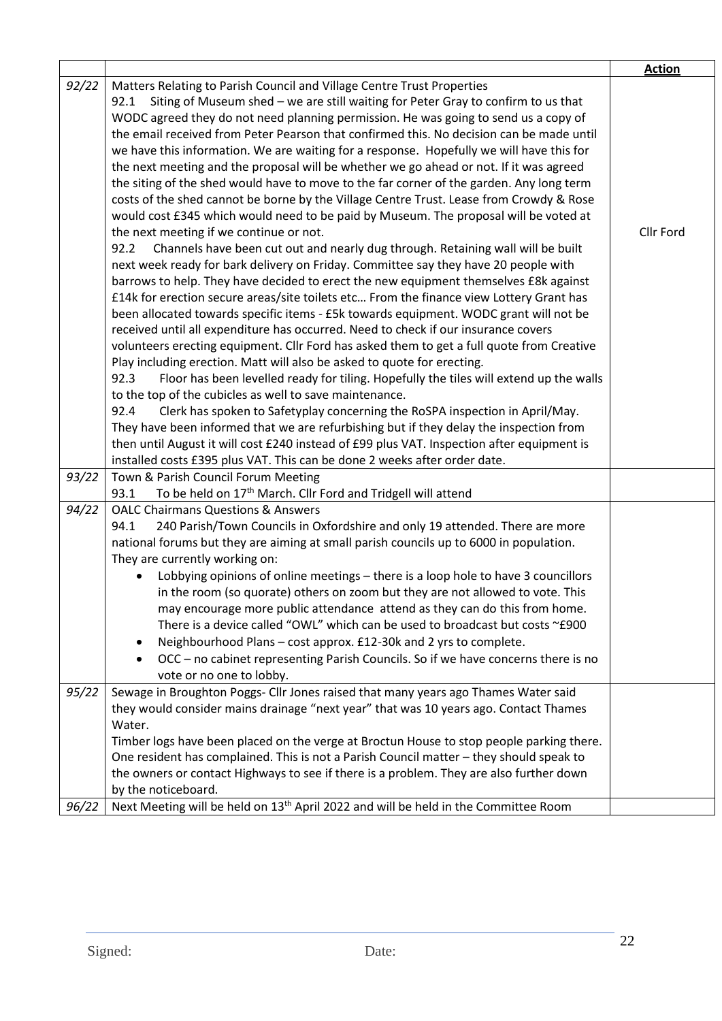|       |                                                                                                                                                                             | <b>Action</b> |
|-------|-----------------------------------------------------------------------------------------------------------------------------------------------------------------------------|---------------|
| 92/22 | Matters Relating to Parish Council and Village Centre Trust Properties                                                                                                      |               |
|       | Siting of Museum shed - we are still waiting for Peter Gray to confirm to us that<br>92.1                                                                                   |               |
|       | WODC agreed they do not need planning permission. He was going to send us a copy of                                                                                         |               |
|       | the email received from Peter Pearson that confirmed this. No decision can be made until                                                                                    |               |
|       | we have this information. We are waiting for a response. Hopefully we will have this for                                                                                    |               |
|       | the next meeting and the proposal will be whether we go ahead or not. If it was agreed                                                                                      |               |
|       | the siting of the shed would have to move to the far corner of the garden. Any long term                                                                                    |               |
|       | costs of the shed cannot be borne by the Village Centre Trust. Lease from Crowdy & Rose                                                                                     |               |
|       | would cost £345 which would need to be paid by Museum. The proposal will be voted at                                                                                        |               |
|       | the next meeting if we continue or not.                                                                                                                                     | Cllr Ford     |
|       | Channels have been cut out and nearly dug through. Retaining wall will be built<br>92.2                                                                                     |               |
|       | next week ready for bark delivery on Friday. Committee say they have 20 people with<br>barrows to help. They have decided to erect the new equipment themselves £8k against |               |
|       | £14k for erection secure areas/site toilets etc From the finance view Lottery Grant has                                                                                     |               |
|       | been allocated towards specific items - £5k towards equipment. WODC grant will not be                                                                                       |               |
|       | received until all expenditure has occurred. Need to check if our insurance covers                                                                                          |               |
|       | volunteers erecting equipment. Cllr Ford has asked them to get a full quote from Creative                                                                                   |               |
|       | Play including erection. Matt will also be asked to quote for erecting.                                                                                                     |               |
|       | Floor has been levelled ready for tiling. Hopefully the tiles will extend up the walls<br>92.3                                                                              |               |
|       | to the top of the cubicles as well to save maintenance.                                                                                                                     |               |
|       | 92.4<br>Clerk has spoken to Safetyplay concerning the RoSPA inspection in April/May.                                                                                        |               |
|       | They have been informed that we are refurbishing but if they delay the inspection from                                                                                      |               |
|       | then until August it will cost £240 instead of £99 plus VAT. Inspection after equipment is                                                                                  |               |
|       | installed costs £395 plus VAT. This can be done 2 weeks after order date.                                                                                                   |               |
| 93/22 | Town & Parish Council Forum Meeting                                                                                                                                         |               |
|       | To be held on 17 <sup>th</sup> March. Cllr Ford and Tridgell will attend<br>93.1                                                                                            |               |
| 94/22 | <b>OALC Chairmans Questions &amp; Answers</b>                                                                                                                               |               |
|       | 94.1<br>240 Parish/Town Councils in Oxfordshire and only 19 attended. There are more                                                                                        |               |
|       | national forums but they are aiming at small parish councils up to 6000 in population.<br>They are currently working on:                                                    |               |
|       | Lobbying opinions of online meetings - there is a loop hole to have 3 councillors                                                                                           |               |
|       | in the room (so quorate) others on zoom but they are not allowed to vote. This                                                                                              |               |
|       | may encourage more public attendance attend as they can do this from home.                                                                                                  |               |
|       | There is a device called "OWL" which can be used to broadcast but costs ~£900                                                                                               |               |
|       | Neighbourhood Plans - cost approx. £12-30k and 2 yrs to complete.                                                                                                           |               |
|       | OCC - no cabinet representing Parish Councils. So if we have concerns there is no                                                                                           |               |
|       | vote or no one to lobby.                                                                                                                                                    |               |
| 95/22 | Sewage in Broughton Poggs- Cllr Jones raised that many years ago Thames Water said                                                                                          |               |
|       | they would consider mains drainage "next year" that was 10 years ago. Contact Thames                                                                                        |               |
|       | Water.                                                                                                                                                                      |               |
|       | Timber logs have been placed on the verge at Broctun House to stop people parking there.                                                                                    |               |
|       | One resident has complained. This is not a Parish Council matter - they should speak to                                                                                     |               |
|       | the owners or contact Highways to see if there is a problem. They are also further down                                                                                     |               |
|       | by the noticeboard.                                                                                                                                                         |               |
| 96/22 | Next Meeting will be held on 13 <sup>th</sup> April 2022 and will be held in the Committee Room                                                                             |               |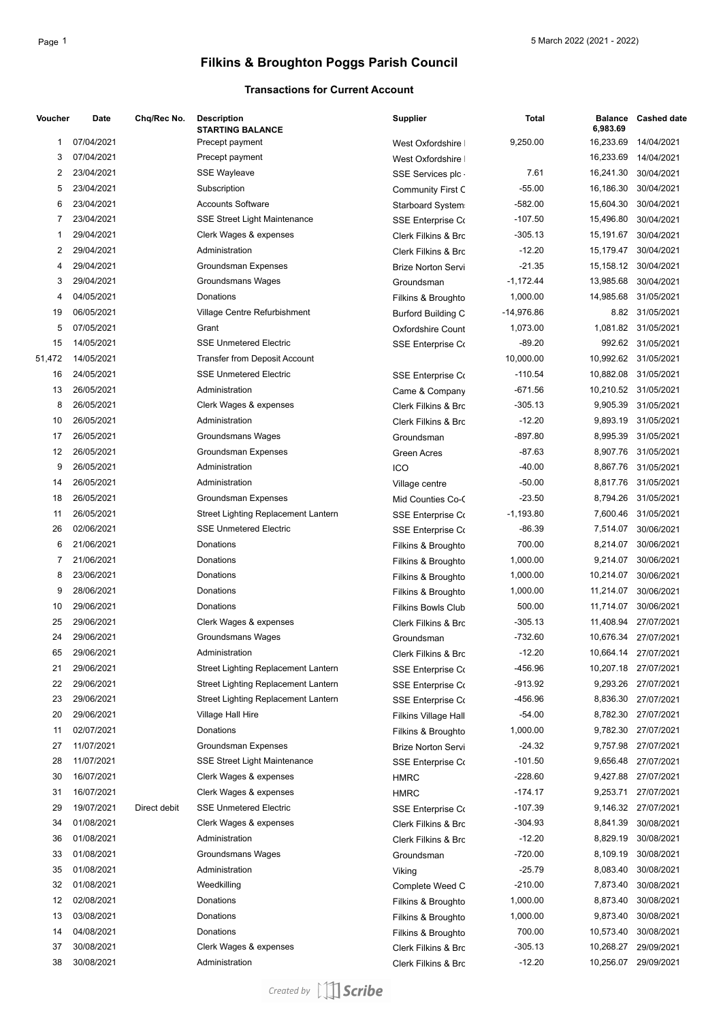### **Transactions for Current Account**

| Voucher | Date       | Chq/Rec No.  | <b>Description</b><br><b>STARTING BALANCE</b> | <b>Supplier</b>           | <b>Total</b> | <b>Balance</b><br>6,983.69 | <b>Cashed date</b>   |
|---------|------------|--------------|-----------------------------------------------|---------------------------|--------------|----------------------------|----------------------|
| 1       | 07/04/2021 |              | Precept payment                               | West Oxfordshire          | 9,250.00     | 16,233.69                  | 14/04/2021           |
| 3       | 07/04/2021 |              | Precept payment                               | West Oxfordshire          |              | 16,233.69                  | 14/04/2021           |
| 2       | 23/04/2021 |              | <b>SSE Wayleave</b>                           | SSE Services plc.         | 7.61         | 16,241.30                  | 30/04/2021           |
| 5       | 23/04/2021 |              | Subscription                                  | <b>Community First C</b>  | -55.00       | 16,186.30                  | 30/04/2021           |
| 6       | 23/04/2021 |              | <b>Accounts Software</b>                      | Starboard System          | $-582.00$    | 15,604.30                  | 30/04/2021           |
| 7       | 23/04/2021 |              | <b>SSE Street Light Maintenance</b>           | <b>SSE Enterprise Co</b>  | $-107.50$    | 15,496.80                  | 30/04/2021           |
| 1       | 29/04/2021 |              | Clerk Wages & expenses                        | Clerk Filkins & Brc       | -305.13      | 15,191.67                  | 30/04/2021           |
| 2       | 29/04/2021 |              | Administration                                | Clerk Filkins & Brc       | $-12.20$     | 15,179.47                  | 30/04/2021           |
| 4       | 29/04/2021 |              | <b>Groundsman Expenses</b>                    | <b>Brize Norton Servi</b> | $-21.35$     |                            | 15,158.12 30/04/2021 |
| 3       | 29/04/2021 |              | <b>Groundsmans Wages</b>                      | Groundsman                | $-1,172.44$  | 13,985.68                  | 30/04/2021           |
| 4       | 04/05/2021 |              | Donations                                     | Filkins & Broughto        | 1,000.00     | 14,985.68                  | 31/05/2021           |
| 19      | 06/05/2021 |              | Village Centre Refurbishment                  | <b>Burford Building C</b> | $-14,976.86$ |                            | 8.82 31/05/2021      |
| 5       | 07/05/2021 |              | Grant                                         | <b>Oxfordshire Count</b>  | 1,073.00     |                            | 1,081.82 31/05/2021  |
| 15      | 14/05/2021 |              | <b>SSE Unmetered Electric</b>                 | <b>SSE Enterprise Co</b>  | $-89.20$     |                            | 992.62 31/05/2021    |
| 51,472  | 14/05/2021 |              | Transfer from Deposit Account                 |                           | 10,000.00    |                            | 10,992.62 31/05/2021 |
| 16      | 24/05/2021 |              | <b>SSE Unmetered Electric</b>                 | <b>SSE Enterprise Co</b>  | $-110.54$    |                            | 10,882.08 31/05/2021 |
| 13      | 26/05/2021 |              | Administration                                | Came & Company            | $-671.56$    |                            | 10,210.52 31/05/2021 |
| 8       | 26/05/2021 |              | Clerk Wages & expenses                        | Clerk Filkins & Brc       | $-305.13$    | 9,905.39                   | 31/05/2021           |
| 10      | 26/05/2021 |              | Administration                                | Clerk Filkins & Brc       | $-12.20$     | 9,893.19                   | 31/05/2021           |
| 17      | 26/05/2021 |              | <b>Groundsmans Wages</b>                      | Groundsman                | $-897.80$    | 8,995.39                   | 31/05/2021           |
| 12      | 26/05/2021 |              | Groundsman Expenses                           | <b>Green Acres</b>        | $-87.63$     |                            | 8,907.76 31/05/2021  |
| 9       | 26/05/2021 |              | Administration                                | ICO                       | $-40.00$     | 8,867.76                   | 31/05/2021           |
| 14      | 26/05/2021 |              | Administration                                | Village centre            | $-50.00$     |                            | 8,817.76 31/05/2021  |
| 18      | 26/05/2021 |              | Groundsman Expenses                           | Mid Counties Co-C         | $-23.50$     | 8,794.26                   | 31/05/2021           |
| 11      | 26/05/2021 |              | Street Lighting Replacement Lantern           | <b>SSE Enterprise Co</b>  | $-1,193.80$  | 7,600.46                   | 31/05/2021           |
| 26      | 02/06/2021 |              | <b>SSE Unmetered Electric</b>                 | <b>SSE Enterprise Co</b>  | $-86.39$     | 7,514.07                   | 30/06/2021           |
| 6       | 21/06/2021 |              | Donations                                     | Filkins & Broughto        | 700.00       | 8,214.07                   | 30/06/2021           |
| 7       | 21/06/2021 |              | Donations                                     | Filkins & Broughto        | 1,000.00     | 9,214.07                   | 30/06/2021           |
| 8       | 23/06/2021 |              | Donations                                     | Filkins & Broughto        | 1,000.00     | 10,214.07                  | 30/06/2021           |
| 9       | 28/06/2021 |              | Donations                                     | Filkins & Broughto        | 1,000.00     | 11,214.07                  | 30/06/2021           |
| 10      | 29/06/2021 |              | Donations                                     | <b>Filkins Bowls Club</b> | 500.00       | 11,714.07                  | 30/06/2021           |
| 25      | 29/06/2021 |              | Clerk Wages & expenses                        | Clerk Filkins & Brc       | $-305.13$    | 11,408.94                  | 27/07/2021           |
| 24      | 29/06/2021 |              | <b>Groundsmans Wages</b>                      | Groundsman                | -732.60      |                            | 10,676.34 27/07/2021 |
| 65      | 29/06/2021 |              | Administration                                | Clerk Filkins & Brc       | $-12.20$     |                            | 10,664.14 27/07/2021 |
| 21      | 29/06/2021 |              | Street Lighting Replacement Lantern           | <b>SSE Enterprise Co</b>  | -456.96      |                            | 10,207.18 27/07/2021 |
| 22      | 29/06/2021 |              | Street Lighting Replacement Lantern           | <b>SSE Enterprise Co</b>  | -913.92      |                            | 9,293.26 27/07/2021  |
| 23      | 29/06/2021 |              | Street Lighting Replacement Lantern           | <b>SSE Enterprise Co</b>  | -456.96      |                            | 8,836.30 27/07/2021  |
| 20      | 29/06/2021 |              | Village Hall Hire                             | Filkins Village Hall      | $-54.00$     |                            | 8,782.30 27/07/2021  |
| 11      | 02/07/2021 |              | Donations                                     | Filkins & Broughto        | 1,000.00     |                            | 9,782.30 27/07/2021  |
| 27      | 11/07/2021 |              | Groundsman Expenses                           | <b>Brize Norton Servi</b> | $-24.32$     |                            | 9,757.98 27/07/2021  |
| 28      | 11/07/2021 |              | <b>SSE Street Light Maintenance</b>           | <b>SSE Enterprise Co</b>  | $-101.50$    |                            | 9,656.48 27/07/2021  |
| 30      | 16/07/2021 |              | Clerk Wages & expenses                        | <b>HMRC</b>               | $-228.60$    | 9,427.88                   | 27/07/2021           |
| 31      | 16/07/2021 |              | Clerk Wages & expenses                        | <b>HMRC</b>               | $-174.17$    | 9,253.71                   | 27/07/2021           |
| 29      | 19/07/2021 | Direct debit | <b>SSE Unmetered Electric</b>                 | <b>SSE Enterprise Co</b>  | $-107.39$    |                            | 9,146.32 27/07/2021  |
| 34      | 01/08/2021 |              | Clerk Wages & expenses                        | Clerk Filkins & Brc       | -304.93      | 8,841.39                   | 30/08/2021           |
| 36      | 01/08/2021 |              | Administration                                | Clerk Filkins & Brc       | $-12.20$     | 8,829.19                   | 30/08/2021           |
| 33      | 01/08/2021 |              | Groundsmans Wages                             | Groundsman                | -720.00      | 8,109.19                   | 30/08/2021           |
| 35      | 01/08/2021 |              | Administration                                | Viking                    | $-25.79$     | 8,083.40                   | 30/08/2021           |
| 32      | 01/08/2021 |              | Weedkilling                                   | Complete Weed C           | $-210.00$    | 7,873.40                   | 30/08/2021           |
| 12      | 02/08/2021 |              | Donations                                     | Filkins & Broughto        | 1,000.00     | 8,873.40                   | 30/08/2021           |
| 13      | 03/08/2021 |              | Donations                                     | Filkins & Broughto        | 1,000.00     | 9,873.40                   | 30/08/2021           |
| 14      | 04/08/2021 |              | Donations                                     | Filkins & Broughto        | 700.00       | 10,573.40                  | 30/08/2021           |
| 37      | 30/08/2021 |              | Clerk Wages & expenses                        | Clerk Filkins & Brc       | -305.13      | 10,268.27                  | 29/09/2021           |
| 38      | 30/08/2021 |              | Administration                                | Clerk Filkins & Brc       | $-12.20$     | 10,256.07                  | 29/09/2021           |
|         |            |              |                                               |                           |              |                            |                      |

Created by [1] Scribe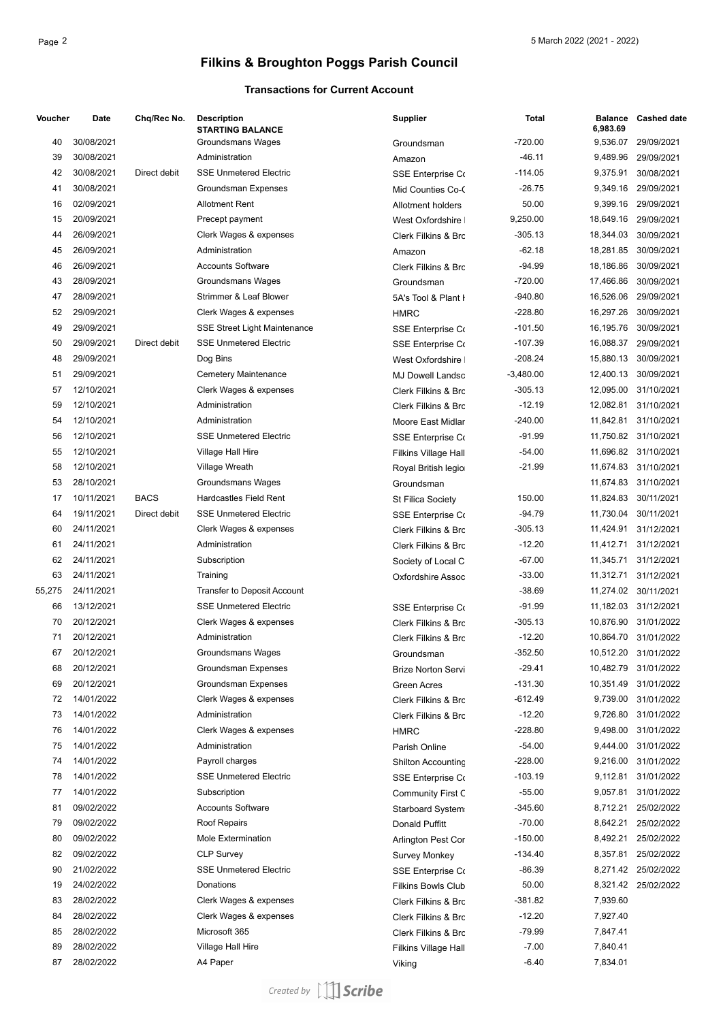### **Transactions for Current Account**

| Voucher | Date       | Chq/Rec No.  | <b>Description</b><br><b>STARTING BALANCE</b> | <b>Supplier</b>                | Total       | <b>Balance</b><br>6,983.69 | <b>Cashed date</b>   |
|---------|------------|--------------|-----------------------------------------------|--------------------------------|-------------|----------------------------|----------------------|
| 40      | 30/08/2021 |              | Groundsmans Wages                             | Groundsman                     | $-720.00$   | 9,536.07                   | 29/09/2021           |
| 39      | 30/08/2021 |              | Administration                                | Amazon                         | $-46.11$    | 9,489.96                   | 29/09/2021           |
| 42      | 30/08/2021 | Direct debit | <b>SSE Unmetered Electric</b>                 | <b>SSE Enterprise Co</b>       | $-114.05$   | 9,375.91                   | 30/08/2021           |
| 41      | 30/08/2021 |              | <b>Groundsman Expenses</b>                    | Mid Counties Co-C              | $-26.75$    | 9,349.16                   | 29/09/2021           |
| 16      | 02/09/2021 |              | <b>Allotment Rent</b>                         | <b>Allotment holders</b>       | 50.00       | 9,399.16                   | 29/09/2021           |
| 15      | 20/09/2021 |              | Precept payment                               | West Oxfordshire               | 9,250.00    | 18,649.16                  | 29/09/2021           |
| 44      | 26/09/2021 |              | Clerk Wages & expenses                        | Clerk Filkins & Brc            | $-305.13$   | 18,344.03                  | 30/09/2021           |
| 45      | 26/09/2021 |              | Administration                                | Amazon                         | $-62.18$    | 18,281.85                  | 30/09/2021           |
| 46      | 26/09/2021 |              | <b>Accounts Software</b>                      | Clerk Filkins & Brc            | $-94.99$    | 18,186.86                  | 30/09/2021           |
| 43      | 28/09/2021 |              | Groundsmans Wages                             | Groundsman                     | $-720.00$   | 17,466.86                  | 30/09/2021           |
| 47      | 28/09/2021 |              | Strimmer & Leaf Blower                        | 5A's Tool & Plant I            | $-940.80$   | 16,526.06                  | 29/09/2021           |
| 52      | 29/09/2021 |              | Clerk Wages & expenses                        | <b>HMRC</b>                    | $-228.80$   | 16,297.26                  | 30/09/2021           |
| 49      | 29/09/2021 |              | <b>SSE Street Light Maintenance</b>           | <b>SSE Enterprise Co</b>       | $-101.50$   | 16,195.76                  | 30/09/2021           |
| 50      | 29/09/2021 | Direct debit | <b>SSE Unmetered Electric</b>                 | <b>SSE Enterprise Co</b>       | $-107.39$   | 16,088.37                  | 29/09/2021           |
| 48      | 29/09/2021 |              | Dog Bins                                      | West Oxfordshire               | $-208.24$   | 15,880.13                  | 30/09/2021           |
| 51      | 29/09/2021 |              | <b>Cemetery Maintenance</b>                   | <b>MJ Dowell Landsc</b>        | $-3,480.00$ | 12,400.13                  | 30/09/2021           |
| 57      | 12/10/2021 |              | Clerk Wages & expenses                        | Clerk Filkins & Brc            | $-305.13$   | 12,095.00                  | 31/10/2021           |
| 59      | 12/10/2021 |              | Administration                                | Clerk Filkins & Brc            | $-12.19$    | 12,082.81                  | 31/10/2021           |
| 54      | 12/10/2021 |              | Administration                                | Moore East Midlar              | $-240.00$   | 11,842.81                  | 31/10/2021           |
| 56      | 12/10/2021 |              | <b>SSE Unmetered Electric</b>                 | <b>SSE Enterprise Co</b>       | $-91.99$    |                            | 11,750.82 31/10/2021 |
| 55      | 12/10/2021 |              | Village Hall Hire                             | Filkins Village Hall           | $-54.00$    |                            | 11,696.82 31/10/2021 |
| 58      | 12/10/2021 |              | Village Wreath                                | Royal British legio            | $-21.99$    |                            | 11,674.83 31/10/2021 |
| 53      | 28/10/2021 |              | Groundsmans Wages                             | Groundsman                     |             |                            | 11,674.83 31/10/2021 |
| 17      | 10/11/2021 | <b>BACS</b>  | Hardcastles Field Rent                        | St Filica Society              | 150.00      | 11,824.83                  | 30/11/2021           |
| 64      | 19/11/2021 | Direct debit | <b>SSE Unmetered Electric</b>                 | <b>SSE Enterprise Co</b>       | $-94.79$    | 11,730.04                  | 30/11/2021           |
| 60      | 24/11/2021 |              | Clerk Wages & expenses                        | Clerk Filkins & Brc            | $-305.13$   | 11,424.91                  | 31/12/2021           |
| 61      | 24/11/2021 |              | Administration                                | Clerk Filkins & Brc            | $-12.20$    | 11,412.71                  | 31/12/2021           |
| 62      | 24/11/2021 |              | Subscription                                  | Society of Local C             | $-67.00$    | 11,345.71                  | 31/12/2021           |
| 63      | 24/11/2021 |              | Training                                      | Oxfordshire Assoc              | $-33.00$    | 11,312.71                  | 31/12/2021           |
| 55,275  | 24/11/2021 |              | Transfer to Deposit Account                   |                                | $-38.69$    |                            | 11,274.02 30/11/2021 |
| 66      | 13/12/2021 |              | <b>SSE Unmetered Electric</b>                 |                                | -91.99      |                            | 11,182.03 31/12/2021 |
| 70      | 20/12/2021 |              | Clerk Wages & expenses                        | <b>SSE Enterprise Co</b>       | -305.13     | 10,876.90                  | 31/01/2022           |
| 71      | 20/12/2021 |              | Administration                                | Clerk Filkins & Brc            | $-12.20$    |                            | 10,864.70 31/01/2022 |
| 67      | 20/12/2021 |              |                                               | <b>Clerk Filkins &amp; Brc</b> | $-352.50$   |                            | 10,512.20 31/01/2022 |
|         |            |              | Groundsmans Wages                             | Groundsman                     | $-29.41$    |                            |                      |
| 68      | 20/12/2021 |              | Groundsman Expenses                           | Brize Norton Servi             |             |                            | 10,482.79 31/01/2022 |
| 69      | 20/12/2021 |              | Groundsman Expenses                           | Green Acres                    | $-131.30$   | 10,351.49                  | 31/01/2022           |
| 72      | 14/01/2022 |              | Clerk Wages & expenses                        | Clerk Filkins & Brc            | -612.49     |                            | 9,739.00 31/01/2022  |
| 73      | 14/01/2022 |              | Administration                                | Clerk Filkins & Brc            | $-12.20$    |                            | 9,726.80 31/01/2022  |
| 76      | 14/01/2022 |              | Clerk Wages & expenses                        | <b>HMRC</b>                    | $-228.80$   |                            | 9,498.00 31/01/2022  |
| 75      | 14/01/2022 |              | Administration                                | Parish Online                  | $-54.00$    |                            | 9,444.00 31/01/2022  |
| 74      | 14/01/2022 |              | Payroll charges                               | Shilton Accounting             | -228.00     |                            | 9,216.00 31/01/2022  |
| 78      | 14/01/2022 |              | <b>SSE Unmetered Electric</b>                 | <b>SSE Enterprise Co</b>       | $-103.19$   | 9,112.81                   | 31/01/2022           |
| 77      | 14/01/2022 |              | Subscription                                  | <b>Community First C</b>       | $-55.00$    | 9,057.81                   | 31/01/2022           |
| 81      | 09/02/2022 |              | Accounts Software                             | Starboard System               | -345.60     | 8,712.21                   | 25/02/2022           |
| 79      | 09/02/2022 |              | Roof Repairs                                  | Donald Puffitt                 | $-70.00$    | 8,642.21                   | 25/02/2022           |
| 80      | 09/02/2022 |              | Mole Extermination                            | Arlington Pest Cor             | $-150.00$   | 8,492.21                   | 25/02/2022           |
| 82      | 09/02/2022 |              | <b>CLP Survey</b>                             | Survey Monkey                  | $-134.40$   | 8,357.81                   | 25/02/2022           |
| 90      | 21/02/2022 |              | <b>SSE Unmetered Electric</b>                 | <b>SSE Enterprise Co</b>       | $-86.39$    |                            | 8,271.42 25/02/2022  |
| 19      | 24/02/2022 |              | Donations                                     | <b>Filkins Bowls Club</b>      | 50.00       |                            | 8,321.42 25/02/2022  |
| 83      | 28/02/2022 |              | Clerk Wages & expenses                        | Clerk Filkins & Brc            | -381.82     | 7,939.60                   |                      |
| 84      | 28/02/2022 |              | Clerk Wages & expenses                        | Clerk Filkins & Brc            | $-12.20$    | 7,927.40                   |                      |
| 85      | 28/02/2022 |              | Microsoft 365                                 | Clerk Filkins & Brc            | -79.99      | 7,847.41                   |                      |
| 89      | 28/02/2022 |              | Village Hall Hire                             | Filkins Village Hall           | $-7.00$     | 7,840.41                   |                      |
| 87      | 28/02/2022 |              | A4 Paper                                      | Viking                         | $-6.40$     | 7,834.01                   |                      |

Created by [1] Scribe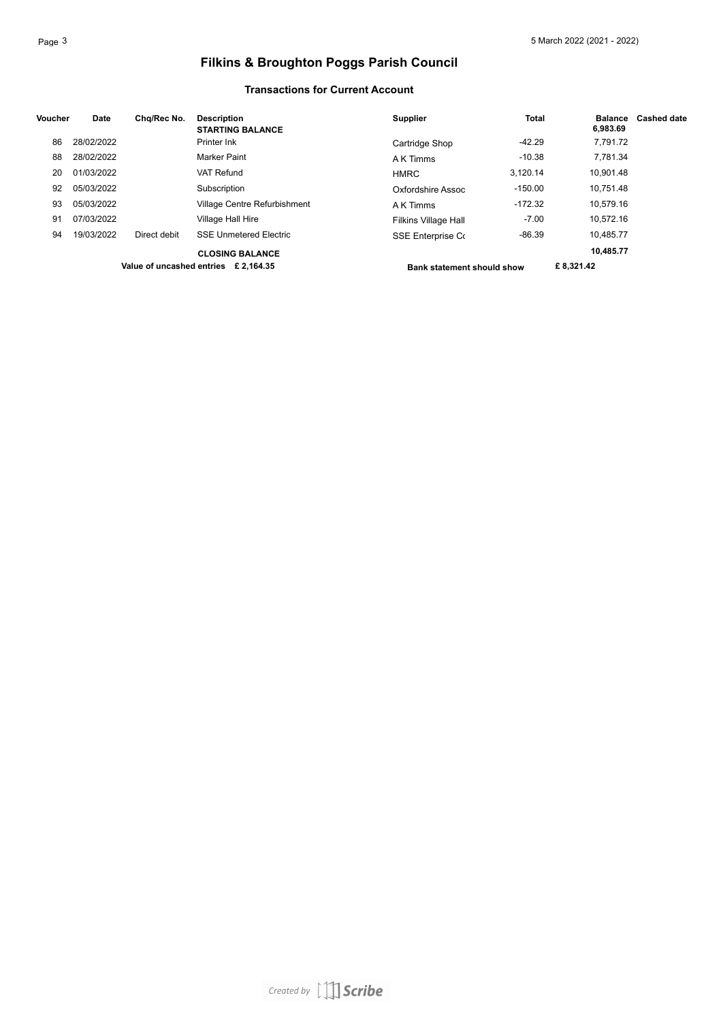#### **Transactions for Current Account**

| Voucher | Date       | Chg/Rec No.  | <b>Description</b><br><b>STARTING BALANCE</b> | <b>Supplier</b>                   | <b>Total</b> | <b>Balance</b><br>6.983.69 | <b>Cashed date</b> |
|---------|------------|--------------|-----------------------------------------------|-----------------------------------|--------------|----------------------------|--------------------|
| 86      | 28/02/2022 |              | Printer Ink                                   | Cartridge Shop                    | $-42.29$     | 7,791.72                   |                    |
| 88      | 28/02/2022 |              | Marker Paint                                  | A K Timms                         | $-10.38$     | 7.781.34                   |                    |
| 20      | 01/03/2022 |              | VAT Refund                                    | <b>HMRC</b>                       | 3,120.14     | 10.901.48                  |                    |
| 92      | 05/03/2022 |              | Subscription                                  | Oxfordshire Assoc                 | $-150.00$    | 10.751.48                  |                    |
| 93      | 05/03/2022 |              | Village Centre Refurbishment                  | A K Timms                         | $-172.32$    | 10.579.16                  |                    |
| 91      | 07/03/2022 |              | Village Hall Hire                             | <b>Filkins Village Hall</b>       | $-7.00$      | 10.572.16                  |                    |
| 94      | 19/03/2022 | Direct debit | <b>SSE Unmetered Electric</b>                 | SSE Enterprise Co                 | $-86.39$     | 10.485.77                  |                    |
|         |            |              | <b>CLOSING BALANCE</b>                        |                                   |              | 10,485.77                  |                    |
|         |            |              | Value of uncashed entries £ 2.164.35          | <b>Bank statement should show</b> |              | £8.321.42                  |                    |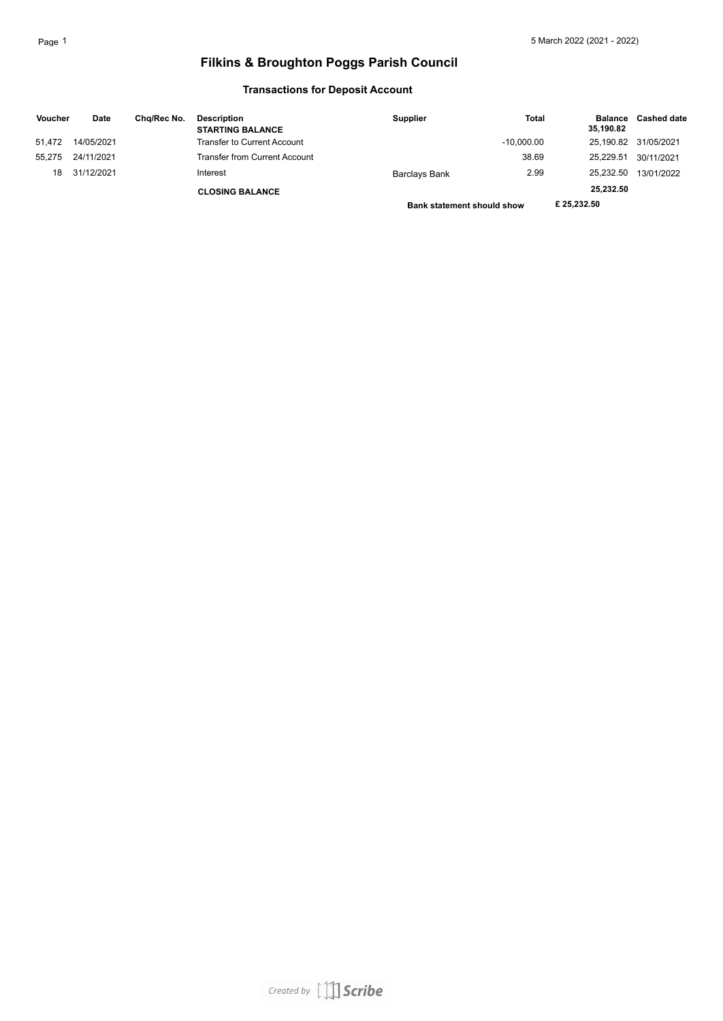### **Transactions for Deposit Account**

| <b>Voucher</b> | Date       | Cha/Rec No. | <b>Description</b><br><b>STARTING BALANCE</b> | <b>Supplier</b>                   | <b>Total</b> | <b>Balance</b><br>35,190.82 | <b>Cashed date</b> |
|----------------|------------|-------------|-----------------------------------------------|-----------------------------------|--------------|-----------------------------|--------------------|
| 51.472         | 14/05/2021 |             | Transfer to Current Account                   |                                   | $-10.000.00$ | 25.190.82                   | 31/05/2021         |
| 55.275         | 24/11/2021 |             | <b>Transfer from Current Account</b>          |                                   | 38.69        | 25.229.51                   | 30/11/2021         |
| 18             | 31/12/2021 |             | Interest                                      | Barclays Bank                     | 2.99         | 25.232.50                   | 13/01/2022         |
|                |            |             | <b>CLOSING BALANCE</b>                        |                                   |              | 25,232.50                   |                    |
|                |            |             |                                               | <b>Bank statement should show</b> |              | £25.232.50                  |                    |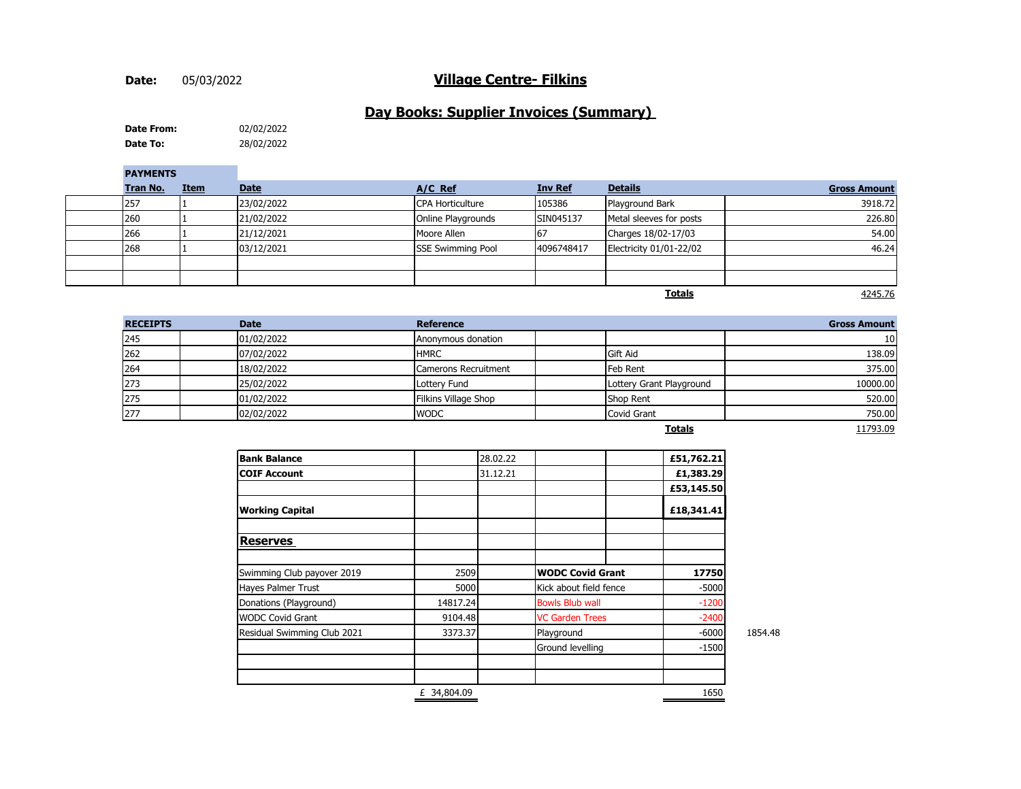#### **Date:**

### 05/03/2022 **Village Centre- Filkins**

### **Day Books: Supplier Invoices (Summary)**

**Date To:** 28/02/2022 **Date From:** 02/02/2022

| <b>PAYMENTS</b> |             |             |                          |                |                         |                     |
|-----------------|-------------|-------------|--------------------------|----------------|-------------------------|---------------------|
| <b>Tran No.</b> | <b>Item</b> | <b>Date</b> | A/C Ref                  | <b>Inv Ref</b> | <b>Details</b>          | <b>Gross Amount</b> |
| 257             |             | 23/02/2022  | <b>CPA Horticulture</b>  | 105386         | Playground Bark         | 3918.72             |
| 260             |             | 21/02/2022  | Online Playgrounds       | SIN045137      | Metal sleeves for posts | 226.80              |
| 266             |             | 21/12/2021  | Moore Allen              | 67             | Charges 18/02-17/03     | 54.00               |
| 268             |             | 03/12/2021  | <b>SSE Swimming Pool</b> | 4096748417     | Electricity 01/01-22/02 | 46.24               |
|                 |             |             |                          |                |                         |                     |
|                 |             |             |                          |                |                         |                     |
|                 |             |             |                          |                | <b>Totals</b>           | 4245.76             |

| <b>RECEIPTS</b> | <b>Date</b> | <b>Reference</b>     |                          | <b>Gross Amount</b> |
|-----------------|-------------|----------------------|--------------------------|---------------------|
| 245             | 01/02/2022  | Anonymous donation   |                          | 10 <sup>1</sup>     |
| 262             | 07/02/2022  | <b>HMRC</b>          | Gift Aid                 | 138.09              |
| 264             | 18/02/2022  | Camerons Recruitment | <b>Feb Rent</b>          | 375.00              |
| 273             | 25/02/2022  | Lottery Fund         | Lottery Grant Playground | 10000.00            |
| 275             | 01/02/2022  | Filkins Village Shop | Shop Rent                | 520.00              |
| 277             | 02/02/2022  | <b>WODC</b>          | <b>Covid Grant</b>       | 750.00              |
|                 |             |                      | - - -                    | 1170200             |

|--|

11793.09

| <b>Bank Balance</b>         |             | 28.02.22 |                         | £51,762.21 |         |
|-----------------------------|-------------|----------|-------------------------|------------|---------|
| <b>COIF Account</b>         |             | 31.12.21 |                         | £1,383.29  |         |
|                             |             |          |                         | £53,145.50 |         |
| <b>Working Capital</b>      |             |          |                         | £18,341.41 |         |
| <b>Reserves</b>             |             |          |                         |            |         |
| Swimming Club payover 2019  | 2509        |          | <b>WODC Covid Grant</b> | 17750      |         |
| Hayes Palmer Trust          | 5000        |          | Kick about field fence  | $-5000$    |         |
| Donations (Playground)      | 14817.24    |          | <b>Bowls Blub wall</b>  | $-1200$    |         |
| <b>WODC Covid Grant</b>     | 9104.48     |          | <b>VC Garden Trees</b>  | $-2400$    |         |
| Residual Swimming Club 2021 | 3373.37     |          | Playground              | $-6000$    | 1854.48 |
|                             |             |          | Ground levelling        | $-1500$    |         |
|                             |             |          |                         |            |         |
|                             | £ 34,804.09 |          |                         | 1650       |         |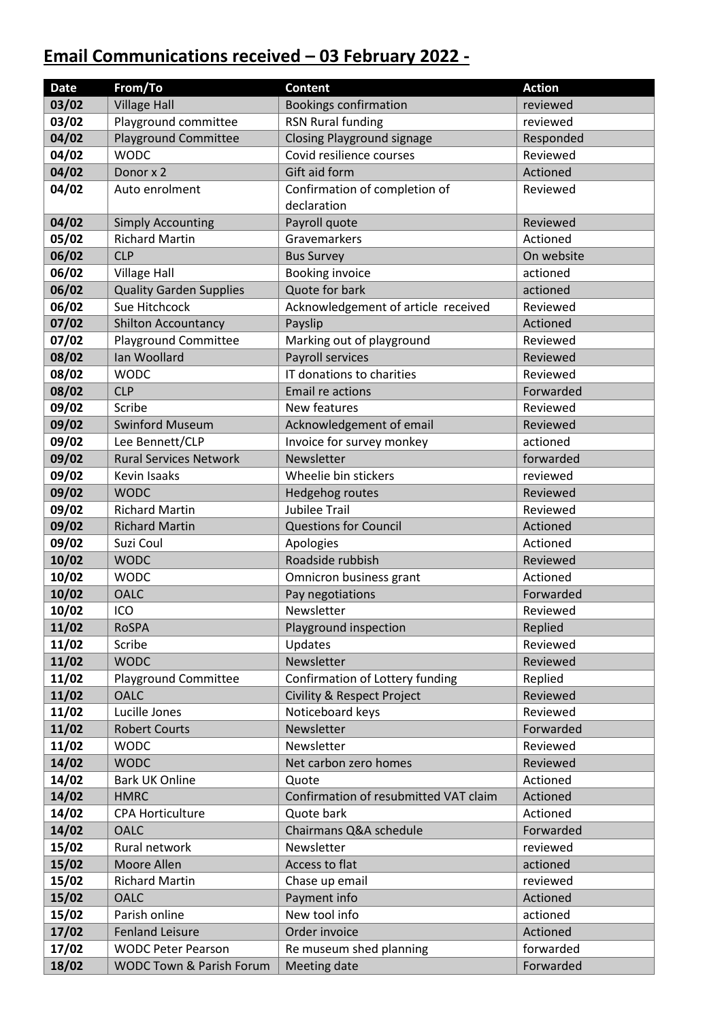# **Email Communications received – 03 February 2022 -**

| <b>Date</b>    | From/To                             | <b>Content</b>                        | <b>Action</b>        |
|----------------|-------------------------------------|---------------------------------------|----------------------|
| 03/02          | <b>Village Hall</b>                 | <b>Bookings confirmation</b>          | reviewed             |
| 03/02          | Playground committee                | RSN Rural funding                     | reviewed             |
| 04/02          | <b>Playground Committee</b>         | <b>Closing Playground signage</b>     | Responded            |
| 04/02          | <b>WODC</b>                         | Covid resilience courses              | Reviewed             |
| 04/02          | Donor x 2                           | Gift aid form                         | Actioned             |
| 04/02          | Auto enrolment                      | Confirmation of completion of         | Reviewed             |
|                |                                     | declaration                           |                      |
| 04/02          | <b>Simply Accounting</b>            | Payroll quote                         | Reviewed             |
| 05/02          | <b>Richard Martin</b>               | Gravemarkers                          | Actioned             |
| 06/02          | <b>CLP</b>                          | <b>Bus Survey</b>                     | On website           |
| 06/02          | <b>Village Hall</b>                 | <b>Booking invoice</b>                | actioned             |
| 06/02          | <b>Quality Garden Supplies</b>      | Quote for bark                        | actioned             |
| 06/02          | Sue Hitchcock                       | Acknowledgement of article received   | Reviewed             |
| 07/02          | <b>Shilton Accountancy</b>          | Payslip                               | Actioned             |
| 07/02          | <b>Playground Committee</b>         | Marking out of playground             | Reviewed             |
| 08/02          | Ian Woollard                        | Payroll services                      | Reviewed             |
| 08/02          | <b>WODC</b>                         | IT donations to charities             | Reviewed             |
| 08/02          | <b>CLP</b>                          | Email re actions                      | Forwarded            |
| 09/02          | Scribe                              | New features                          | Reviewed             |
| 09/02          | <b>Swinford Museum</b>              | Acknowledgement of email              | Reviewed             |
| 09/02          | Lee Bennett/CLP                     | Invoice for survey monkey             | actioned             |
| 09/02          | <b>Rural Services Network</b>       | Newsletter                            | forwarded            |
| 09/02          | Kevin Isaaks                        | Wheelie bin stickers                  | reviewed             |
| 09/02          | <b>WODC</b>                         | Hedgehog routes                       | Reviewed             |
| 09/02          | <b>Richard Martin</b>               | <b>Jubilee Trail</b>                  | Reviewed             |
| 09/02          | <b>Richard Martin</b>               | <b>Questions for Council</b>          | Actioned             |
| 09/02          | Suzi Coul                           | Apologies                             | Actioned             |
| 10/02          | <b>WODC</b>                         | Roadside rubbish                      | Reviewed             |
| 10/02          | <b>WODC</b>                         | Omnicron business grant               | Actioned             |
| 10/02          | <b>OALC</b>                         | Pay negotiations                      | Forwarded            |
| 10/02          | ICO                                 | Newsletter                            | Reviewed             |
| 11/02          | <b>RoSPA</b>                        | Playground inspection                 | Replied              |
| 11/02          | Scribe                              | Updates                               | Reviewed             |
| 11/02          | <b>WODC</b>                         | Newsletter                            | Reviewed             |
| 11/02          | <b>Playground Committee</b>         | Confirmation of Lottery funding       | Replied              |
| 11/02          | <b>OALC</b>                         | <b>Civility &amp; Respect Project</b> | Reviewed             |
| 11/02          | Lucille Jones                       | Noticeboard keys                      | Reviewed             |
| 11/02          | <b>Robert Courts</b><br><b>WODC</b> | Newsletter                            | Forwarded            |
| 11/02<br>14/02 | <b>WODC</b>                         | Newsletter<br>Net carbon zero homes   | Reviewed<br>Reviewed |
| 14/02          | <b>Bark UK Online</b>               | Quote                                 | Actioned             |
| 14/02          | <b>HMRC</b>                         | Confirmation of resubmitted VAT claim | Actioned             |
| 14/02          | <b>CPA Horticulture</b>             | Quote bark                            | Actioned             |
| 14/02          | <b>OALC</b>                         | Chairmans Q&A schedule                | Forwarded            |
| 15/02          | Rural network                       | Newsletter                            | reviewed             |
| 15/02          | Moore Allen                         | Access to flat                        | actioned             |
| 15/02          | <b>Richard Martin</b>               | Chase up email                        | reviewed             |
| 15/02          | <b>OALC</b>                         | Payment info                          | Actioned             |
| 15/02          | Parish online                       | New tool info                         | actioned             |
| 17/02          | <b>Fenland Leisure</b>              | Order invoice                         | Actioned             |
| 17/02          | <b>WODC Peter Pearson</b>           | Re museum shed planning               | forwarded            |
| 18/02          | WODC Town & Parish Forum            | Meeting date                          | Forwarded            |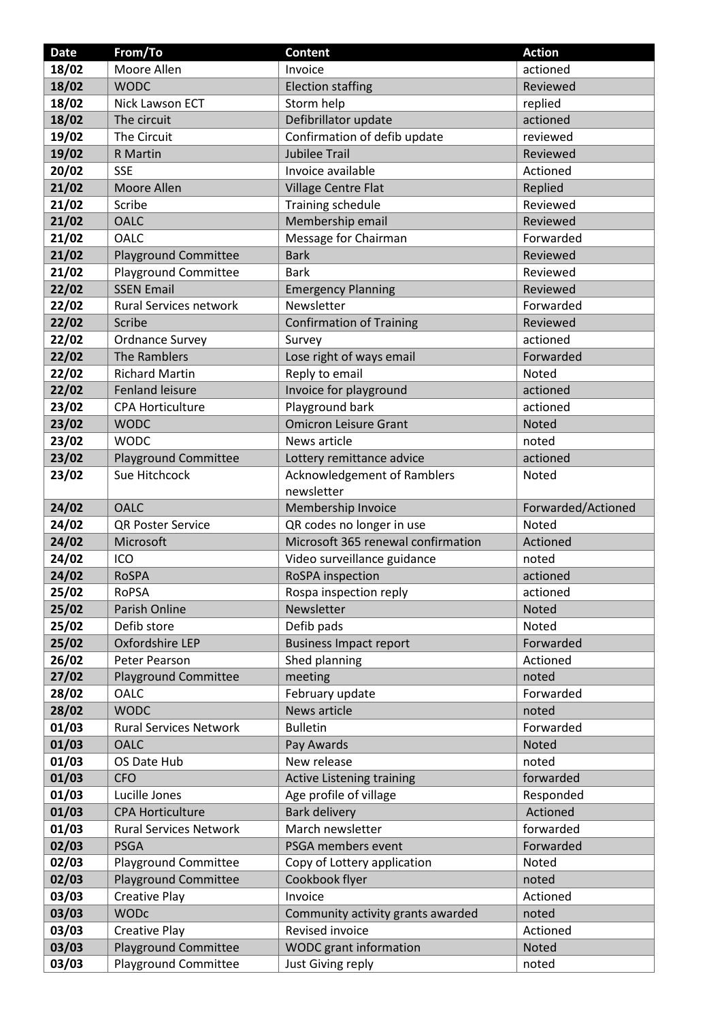| <b>Date</b> | From/To                       | <b>Content</b>                     | <b>Action</b>      |
|-------------|-------------------------------|------------------------------------|--------------------|
| 18/02       | Moore Allen                   | Invoice                            | actioned           |
| 18/02       | <b>WODC</b>                   | <b>Election staffing</b>           | Reviewed           |
| 18/02       | <b>Nick Lawson ECT</b>        | Storm help                         | replied            |
| 18/02       | The circuit                   | Defibrillator update               | actioned           |
| 19/02       | The Circuit                   | Confirmation of defib update       | reviewed           |
| 19/02       | R Martin                      | <b>Jubilee Trail</b>               | Reviewed           |
| 20/02       | <b>SSE</b>                    | Invoice available                  | Actioned           |
| 21/02       | Moore Allen                   | Village Centre Flat                | Replied            |
| 21/02       | Scribe                        | <b>Training schedule</b>           | Reviewed           |
| 21/02       | <b>OALC</b>                   | Membership email                   | Reviewed           |
| 21/02       | <b>OALC</b>                   | Message for Chairman               | Forwarded          |
| 21/02       | <b>Playground Committee</b>   | <b>Bark</b>                        | Reviewed           |
| 21/02       | Playground Committee          | <b>Bark</b>                        | Reviewed           |
| 22/02       | <b>SSEN Email</b>             | <b>Emergency Planning</b>          | Reviewed           |
| 22/02       | Rural Services network        | Newsletter                         | Forwarded          |
| 22/02       | Scribe                        | <b>Confirmation of Training</b>    | Reviewed           |
| 22/02       | <b>Ordnance Survey</b>        | Survey                             | actioned           |
| 22/02       | The Ramblers                  | Lose right of ways email           | Forwarded          |
| 22/02       | <b>Richard Martin</b>         | Reply to email                     | Noted              |
| 22/02       | <b>Fenland leisure</b>        | Invoice for playground             | actioned           |
| 23/02       | <b>CPA Horticulture</b>       | Playground bark                    | actioned           |
| 23/02       | <b>WODC</b>                   | <b>Omicron Leisure Grant</b>       | Noted              |
| 23/02       | <b>WODC</b>                   | News article                       | noted              |
| 23/02       | <b>Playground Committee</b>   | Lottery remittance advice          | actioned           |
| 23/02       | Sue Hitchcock                 | Acknowledgement of Ramblers        | Noted              |
|             |                               | newsletter                         |                    |
| 24/02       | <b>OALC</b>                   | Membership Invoice                 | Forwarded/Actioned |
| 24/02       | <b>QR Poster Service</b>      | QR codes no longer in use          | Noted              |
| 24/02       | Microsoft                     | Microsoft 365 renewal confirmation | Actioned           |
| 24/02       | ICO                           | Video surveillance guidance        | noted              |
| 24/02       | <b>RoSPA</b>                  | RoSPA inspection                   | actioned           |
| 25/02       | <b>RoPSA</b>                  | Rospa inspection reply             | actioned           |
| 25/02       | Parish Online                 | Newsletter                         | Noted              |
| 25/02       | Defib store                   | Defib pads                         | Noted              |
| 25/02       | Oxfordshire LEP               | <b>Business Impact report</b>      | Forwarded          |
| 26/02       | Peter Pearson                 | Shed planning                      | Actioned           |
| 27/02       | <b>Playground Committee</b>   | meeting                            | noted              |
| 28/02       | <b>OALC</b>                   | February update                    | Forwarded          |
| 28/02       | <b>WODC</b>                   | News article                       | noted              |
| 01/03       | <b>Rural Services Network</b> | <b>Bulletin</b>                    | Forwarded          |
| 01/03       | <b>OALC</b>                   | Pay Awards                         | Noted              |
| 01/03       | OS Date Hub                   | New release                        | noted              |
| 01/03       | <b>CFO</b>                    | <b>Active Listening training</b>   | forwarded          |
| 01/03       | Lucille Jones                 | Age profile of village             | Responded          |
| 01/03       | <b>CPA Horticulture</b>       | <b>Bark delivery</b>               | Actioned           |
| 01/03       | <b>Rural Services Network</b> | March newsletter                   | forwarded          |
| 02/03       | <b>PSGA</b>                   | PSGA members event                 | Forwarded          |
| 02/03       | <b>Playground Committee</b>   | Copy of Lottery application        | Noted              |
| 02/03       | <b>Playground Committee</b>   | Cookbook flyer                     | noted              |
| 03/03       | <b>Creative Play</b>          | Invoice                            | Actioned           |
| 03/03       | <b>WODc</b>                   | Community activity grants awarded  | noted              |
| 03/03       | <b>Creative Play</b>          | Revised invoice                    | Actioned           |
| 03/03       | <b>Playground Committee</b>   | WODC grant information             | Noted              |
| 03/03       | Playground Committee          | Just Giving reply                  | noted              |